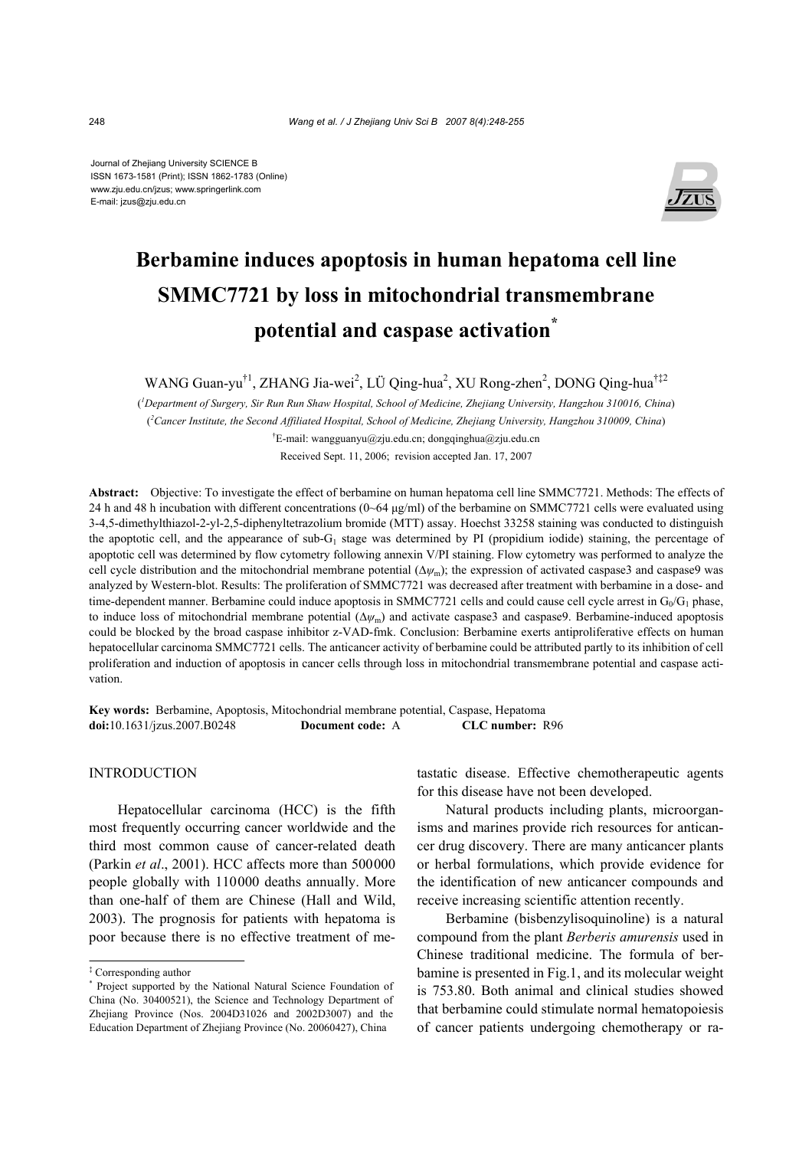Journal of Zhejiang University SCIENCE B ISSN 1673-1581 (Print); ISSN 1862-1783 (Online) www.zju.edu.cn/jzus; www.springerlink.com E-mail: jzus@zju.edu.cn



# **Berbamine induces apoptosis in human hepatoma cell line SMMC7721 by loss in mitochondrial transmembrane potential and caspase activation\***

WANG Guan-yu<sup>†1</sup>, ZHANG Jia-wei<sup>2</sup>, LÜ Qing-hua<sup>2</sup>, XU Rong-zhen<sup>2</sup>, DONG Qing-hua<sup>†‡2</sup>

( *1 Department of Surgery, Sir Run Run Shaw Hospital, School of Medicine, Zhejiang University, Hangzhou 310016, China*) ( *2 Cancer Institute, the Second Affiliated Hospital, School of Medicine, Zhejiang University, Hangzhou 310009, China*)

† E-mail: wangguanyu@zju.edu.cn; dongqinghua@zju.edu.cn Received Sept. 11, 2006; revision accepted Jan. 17, 2007

**Abstract:** Objective: To investigate the effect of berbamine on human hepatoma cell line SMMC7721. Methods: The effects of 24 h and 48 h incubation with different concentrations  $(0-64 \mu g/ml)$  of the berbamine on SMMC7721 cells were evaluated using 3-4,5-dimethylthiazol-2-yl-2,5-diphenyltetrazolium bromide (MTT) assay. Hoechst 33258 staining was conducted to distinguish the apoptotic cell, and the appearance of sub- $G_1$  stage was determined by PI (propidium iodide) staining, the percentage of apoptotic cell was determined by flow cytometry following annexin V/PI staining. Flow cytometry was performed to analyze the cell cycle distribution and the mitochondrial membrane potential (∆*ψ*m); the expression of activated caspase3 and caspase9 was analyzed by Western-blot. Results: The proliferation of SMMC7721 was decreased after treatment with berbamine in a dose- and time-dependent manner. Berbamine could induce apoptosis in SMMC7721 cells and could cause cell cycle arrest in  $G_0/G_1$  phase, to induce loss of mitochondrial membrane potential (∆*ψ*m) and activate caspase3 and caspase9. Berbamine-induced apoptosis could be blocked by the broad caspase inhibitor z-VAD-fmk. Conclusion: Berbamine exerts antiproliferative effects on human hepatocellular carcinoma SMMC7721 cells. The anticancer activity of berbamine could be attributed partly to its inhibition of cell proliferation and induction of apoptosis in cancer cells through loss in mitochondrial transmembrane potential and caspase activation.

**Key words:** Berbamine, Apoptosis, Mitochondrial membrane potential, Caspase, Hepatoma **doi:**10.1631/jzus.2007.B0248 **Document code:** A **CLC number:** R96

## INTRODUCTION

Hepatocellular carcinoma (HCC) is the fifth most frequently occurring cancer worldwide and the third most common cause of cancer-related death (Parkin *et al*., 2001). HCC affects more than 500000 people globally with 110000 deaths annually. More than one-half of them are Chinese (Hall and Wild, 2003). The prognosis for patients with hepatoma is poor because there is no effective treatment of metastatic disease. Effective chemotherapeutic agents for this disease have not been developed.

Natural products including plants, microorganisms and marines provide rich resources for anticancer drug discovery. There are many anticancer plants or herbal formulations, which provide evidence for the identification of new anticancer compounds and receive increasing scientific attention recently.

Berbamine (bisbenzylisoquinoline) is a natural compound from the plant *Berberis amurensis* used in Chinese traditional medicine. The formula of berbamine is presented in Fig.1, and its molecular weight is 753.80. Both animal and clinical studies showed that berbamine could stimulate normal hematopoiesis of cancer patients undergoing chemotherapy or ra-

<sup>‡</sup> Corresponding author

<sup>\*</sup> Project supported by the National Natural Science Foundation of China (No. 30400521), the Science and Technology Department of Zhejiang Province (Nos. 2004D31026 and 2002D3007) and the Education Department of Zhejiang Province (No. 20060427), China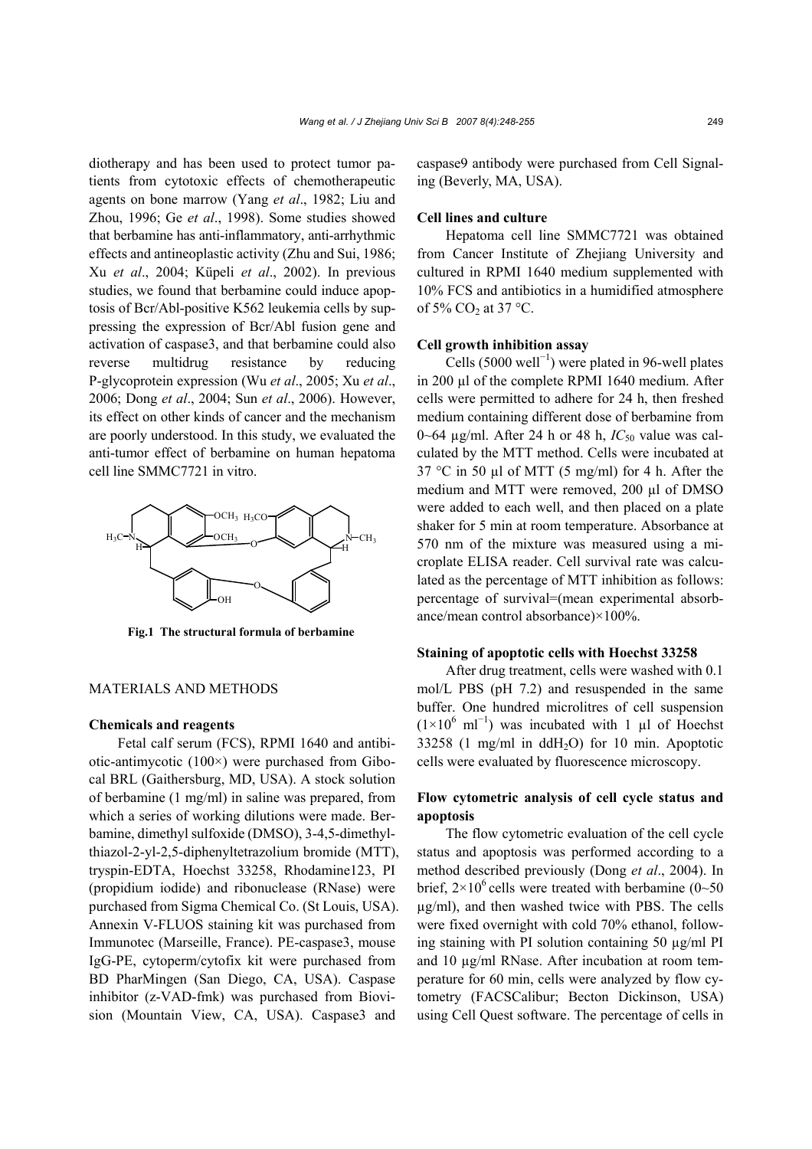diotherapy and has been used to protect tumor patients from cytotoxic effects of chemotherapeutic agents on bone marrow (Yang *et al*., 1982; Liu and Zhou, 1996; Ge *et al*., 1998). Some studies showed that berbamine has anti-inflammatory, anti-arrhythmic effects and antineoplastic activity (Zhu and Sui, 1986; Xu *et al*., 2004; Küpeli *et al*., 2002). In previous studies, we found that berbamine could induce apoptosis of Bcr/Abl-positive K562 leukemia cells by suppressing the expression of Bcr/Abl fusion gene and activation of caspase3, and that berbamine could also reverse multidrug resistance by reducing P-glycoprotein expression (Wu *et al*., 2005; Xu *et al*., 2006; Dong *et al*., 2004; Sun *et al*., 2006). However, its effect on other kinds of cancer and the mechanism are poorly understood. In this study, we evaluated the anti-tumor effect of berbamine on human hepatoma cell line SMMC7721 in vitro.



**Fig.1 The structural formula of berbamine** 

#### MATERIALS AND METHODS

## **Chemicals and reagents**

Fetal calf serum (FCS), RPMI 1640 and antibiotic-antimycotic (100×) were purchased from Gibocal BRL (Gaithersburg, MD, USA). A stock solution of berbamine (1 mg/ml) in saline was prepared, from which a series of working dilutions were made. Berbamine, dimethyl sulfoxide (DMSO), 3-4,5-dimethylthiazol-2-yl-2,5-diphenyltetrazolium bromide (MTT), tryspin-EDTA, Hoechst 33258, Rhodamine123, PI (propidium iodide) and ribonuclease (RNase) were purchased from Sigma Chemical Co. (St Louis, USA). Annexin V-FLUOS staining kit was purchased from Immunotec (Marseille, France). PE-caspase3, mouse IgG-PE, cytoperm/cytofix kit were purchased from BD PharMingen (San Diego, CA, USA). Caspase inhibitor (z-VAD-fmk) was purchased from Biovision (Mountain View, CA, USA). Caspase3 and

caspase9 antibody were purchased from Cell Signaling (Beverly, MA, USA).

#### **Cell lines and culture**

Hepatoma cell line SMMC7721 was obtained from Cancer Institute of Zhejiang University and cultured in RPMI 1640 medium supplemented with 10% FCS and antibiotics in a humidified atmosphere of 5%  $CO<sub>2</sub>$  at 37 °C.

#### **Cell growth inhibition assay**

Cells (5000 well<sup>-1</sup>) were plated in 96-well plates in 200 µl of the complete RPMI 1640 medium. After cells were permitted to adhere for 24 h, then freshed medium containing different dose of berbamine from 0~64  $\mu$ g/ml. After 24 h or 48 h,  $IC_{50}$  value was calculated by the MTT method. Cells were incubated at 37 °C in 50  $\mu$ l of MTT (5 mg/ml) for 4 h. After the medium and MTT were removed, 200 µl of DMSO were added to each well, and then placed on a plate shaker for 5 min at room temperature. Absorbance at 570 nm of the mixture was measured using a microplate ELISA reader. Cell survival rate was calculated as the percentage of MTT inhibition as follows: percentage of survival=(mean experimental absorbance/mean control absorbance)×100%.

## **Staining of apoptotic cells with Hoechst 33258**

After drug treatment, cells were washed with 0.1 mol/L PBS (pH 7.2) and resuspended in the same buffer. One hundred microlitres of cell suspension  $(1\times10^6 \text{ ml}^{-1})$  was incubated with 1 µl of Hoechst  $33258$  (1 mg/ml in ddH<sub>2</sub>O) for 10 min. Apoptotic cells were evaluated by fluorescence microscopy.

# **Flow cytometric analysis of cell cycle status and apoptosis**

The flow cytometric evaluation of the cell cycle status and apoptosis was performed according to a method described previously (Dong *et al*., 2004). In brief,  $2 \times 10^6$  cells were treated with berbamine (0~50) µg/ml), and then washed twice with PBS. The cells were fixed overnight with cold 70% ethanol, following staining with PI solution containing 50 µg/ml PI and 10 µg/ml RNase. After incubation at room temperature for 60 min, cells were analyzed by flow cytometry (FACSCalibur; Becton Dickinson, USA) using Cell Quest software. The percentage of cells in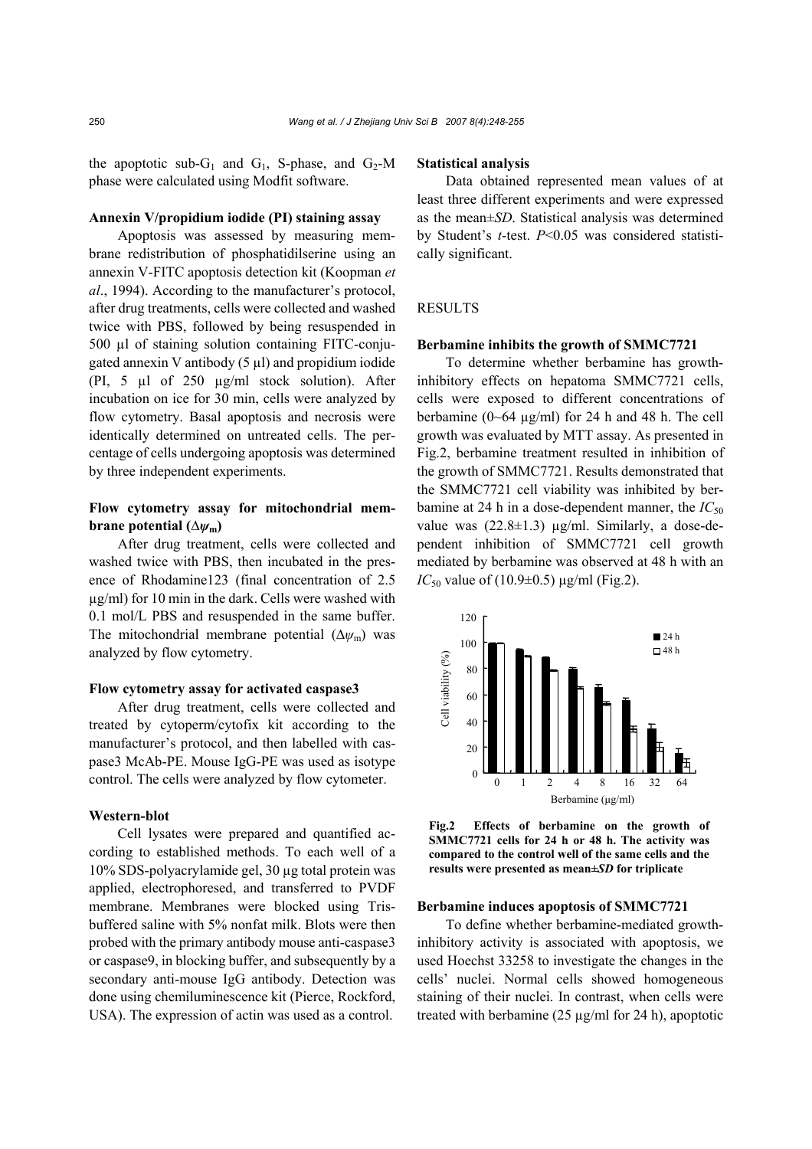the apoptotic sub-G<sub>1</sub> and G<sub>1</sub>, S-phase, and G<sub>2</sub>-M phase were calculated using Modfit software.

## **Annexin V/propidium iodide (PI) staining assay**

Apoptosis was assessed by measuring membrane redistribution of phosphatidilserine using an annexin V-FITC apoptosis detection kit (Koopman *et al*., 1994). According to the manufacturer's protocol, after drug treatments, cells were collected and washed twice with PBS, followed by being resuspended in 500 µl of staining solution containing FITC-conjugated annexin V antibody  $(5 \mu l)$  and propidium iodide (PI, 5 µl of 250 µg/ml stock solution). After incubation on ice for 30 min, cells were analyzed by flow cytometry. Basal apoptosis and necrosis were identically determined on untreated cells. The percentage of cells undergoing apoptosis was determined by three independent experiments.

## **Flow cytometry assay for mitochondrial membrane potential**  $(\Delta\psi_m)$

After drug treatment, cells were collected and washed twice with PBS, then incubated in the presence of Rhodamine123 (final concentration of 2.5 µg/ml) for 10 min in the dark. Cells were washed with 0.1 mol/L PBS and resuspended in the same buffer. The mitochondrial membrane potential (∆*ψ*m) was analyzed by flow cytometry.

#### **Flow cytometry assay for activated caspase3**

After drug treatment, cells were collected and treated by cytoperm/cytofix kit according to the manufacturer's protocol, and then labelled with caspase3 McAb-PE. Mouse IgG-PE was used as isotype control. The cells were analyzed by flow cytometer.

## **Western-blot**

Cell lysates were prepared and quantified according to established methods. To each well of a 10% SDS-polyacrylamide gel, 30 µg total protein was applied, electrophoresed, and transferred to PVDF membrane. Membranes were blocked using Trisbuffered saline with 5% nonfat milk. Blots were then probed with the primary antibody mouse anti-caspase3 or caspase9, in blocking buffer, and subsequently by a secondary anti-mouse IgG antibody. Detection was done using chemiluminescence kit (Pierce, Rockford, USA). The expression of actin was used as a control.

#### **Statistical analysis**

Data obtained represented mean values of at least three different experiments and were expressed as the mean±*SD*. Statistical analysis was determined by Student's *t*-test. *P*<0.05 was considered statistically significant.

## **RESULTS**

#### **Berbamine inhibits the growth of SMMC7721**

To determine whether berbamine has growthinhibitory effects on hepatoma SMMC7721 cells, cells were exposed to different concentrations of berbamine  $(0~64 \text{ µg/ml})$  for 24 h and 48 h. The cell growth was evaluated by MTT assay. As presented in Fig.2, berbamine treatment resulted in inhibition of the growth of SMMC7721. Results demonstrated that the SMMC7721 cell viability was inhibited by berbamine at 24 h in a dose-dependent manner, the  $IC_{50}$ value was  $(22.8\pm1.3)$  µg/ml. Similarly, a dose-dependent inhibition of SMMC7721 cell growth mediated by berbamine was observed at 48 h with an *IC*<sub>50</sub> value of (10.9±0.5) μg/ml (Fig.2).



**Fig.2 Effects of berbamine on the growth of SMMC7721 cells for 24 h or 48 h. The activity was compared to the control well of the same cells and the results were presented as mean±***SD* **for triplicate** 

### **Berbamine induces apoptosis of SMMC7721**

To define whether berbamine-mediated growthinhibitory activity is associated with apoptosis, we used Hoechst 33258 to investigate the changes in the cells' nuclei. Normal cells showed homogeneous staining of their nuclei. In contrast, when cells were treated with berbamine  $(25 \mu g/ml$  for  $24 \text{ h}$ ), apoptotic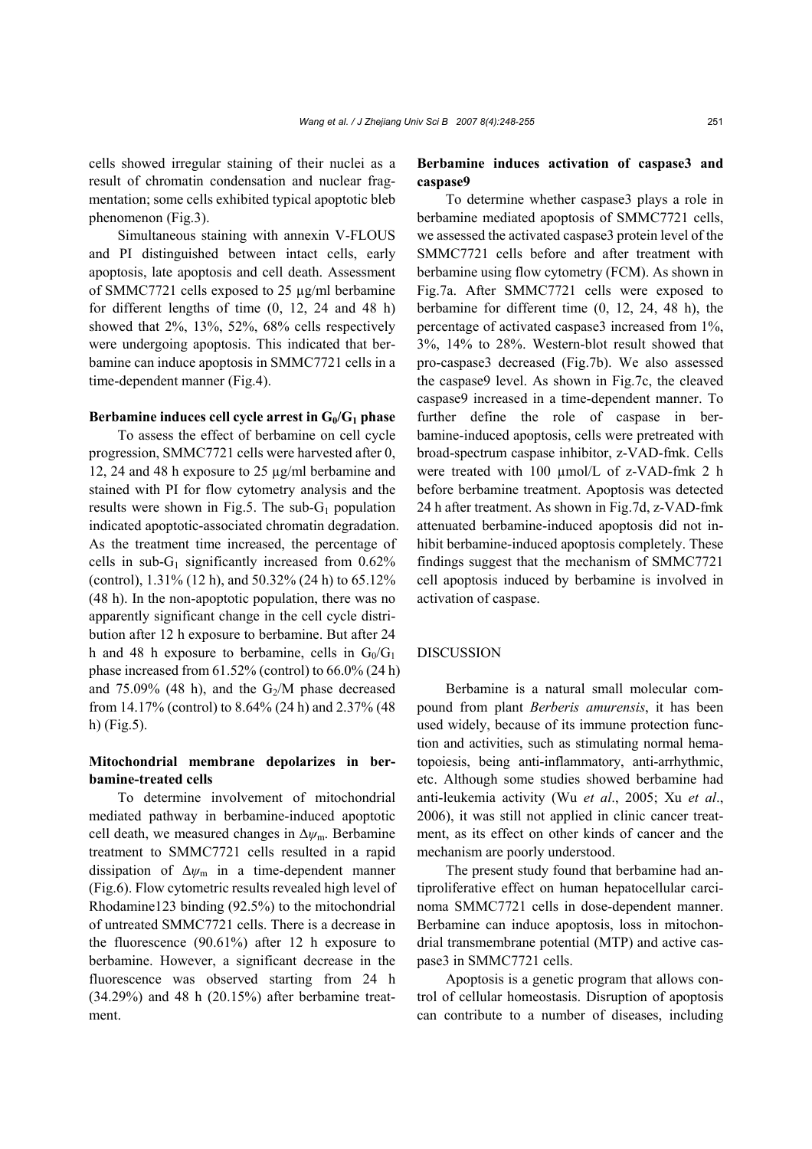Simultaneous staining with annexin V-FLOUS and PI distinguished between intact cells, early apoptosis, late apoptosis and cell death. Assessment of SMMC7721 cells exposed to 25 µg/ml berbamine for different lengths of time (0, 12, 24 and 48 h) showed that 2%, 13%, 52%, 68% cells respectively were undergoing apoptosis. This indicated that berbamine can induce apoptosis in SMMC7721 cells in a time-dependent manner (Fig.4).

### **Berbamine induces cell cycle arrest in G<sub>0</sub>/G<sub>1</sub> phase**

To assess the effect of berbamine on cell cycle progression, SMMC7721 cells were harvested after 0, 12, 24 and 48 h exposure to 25 µg/ml berbamine and stained with PI for flow cytometry analysis and the results were shown in Fig.5. The sub- $G_1$  population indicated apoptotic-associated chromatin degradation. As the treatment time increased, the percentage of cells in sub- $G_1$  significantly increased from 0.62% (control), 1.31% (12 h), and 50.32% (24 h) to 65.12% (48 h). In the non-apoptotic population, there was no apparently significant change in the cell cycle distribution after 12 h exposure to berbamine. But after 24 h and 48 h exposure to berbamine, cells in  $G_0/G_1$ phase increased from  $61.52\%$  (control) to  $66.0\%$  (24 h) and 75.09% (48 h), and the  $G_2/M$  phase decreased from 14.17% (control) to 8.64% (24 h) and 2.37% (48 h) (Fig.5).

# **Mitochondrial membrane depolarizes in berbamine-treated cells**

To determine involvement of mitochondrial mediated pathway in berbamine-induced apoptotic cell death, we measured changes in ∆*ψ*m. Berbamine treatment to SMMC7721 cells resulted in a rapid dissipation of ∆*ψ*m in a time-dependent manner (Fig.6). Flow cytometric results revealed high level of Rhodamine123 binding (92.5%) to the mitochondrial of untreated SMMC7721 cells. There is a decrease in the fluorescence (90.61%) after 12 h exposure to berbamine. However, a significant decrease in the fluorescence was observed starting from 24 h (34.29%) and 48 h (20.15%) after berbamine treatment.

# **Berbamine induces activation of caspase3 and caspase9**

To determine whether caspase3 plays a role in berbamine mediated apoptosis of SMMC7721 cells, we assessed the activated caspase3 protein level of the SMMC7721 cells before and after treatment with berbamine using flow cytometry (FCM). As shown in Fig.7a. After SMMC7721 cells were exposed to berbamine for different time (0, 12, 24, 48 h), the percentage of activated caspase3 increased from 1%, 3%, 14% to 28%. Western-blot result showed that pro-caspase3 decreased (Fig.7b). We also assessed the caspase9 level. As shown in Fig.7c, the cleaved caspase9 increased in a time-dependent manner. To further define the role of caspase in berbamine-induced apoptosis, cells were pretreated with broad-spectrum caspase inhibitor, z-VAD-fmk. Cells were treated with 100 µmol/L of z-VAD-fmk 2 h before berbamine treatment. Apoptosis was detected 24 h after treatment. As shown in Fig.7d, z-VAD-fmk attenuated berbamine-induced apoptosis did not inhibit berbamine-induced apoptosis completely. These findings suggest that the mechanism of SMMC7721 cell apoptosis induced by berbamine is involved in activation of caspase.

# DISCUSSION

Berbamine is a natural small molecular compound from plant *Berberis amurensis*, it has been used widely, because of its immune protection function and activities, such as stimulating normal hematopoiesis, being anti-inflammatory, anti-arrhythmic, etc. Although some studies showed berbamine had anti-leukemia activity (Wu *et al*., 2005; Xu *et al*., 2006), it was still not applied in clinic cancer treatment, as its effect on other kinds of cancer and the mechanism are poorly understood.

The present study found that berbamine had antiproliferative effect on human hepatocellular carcinoma SMMC7721 cells in dose-dependent manner. Berbamine can induce apoptosis, loss in mitochondrial transmembrane potential (MTP) and active caspase3 in SMMC7721 cells.

Apoptosis is a genetic program that allows control of cellular homeostasis. Disruption of apoptosis can contribute to a number of diseases, including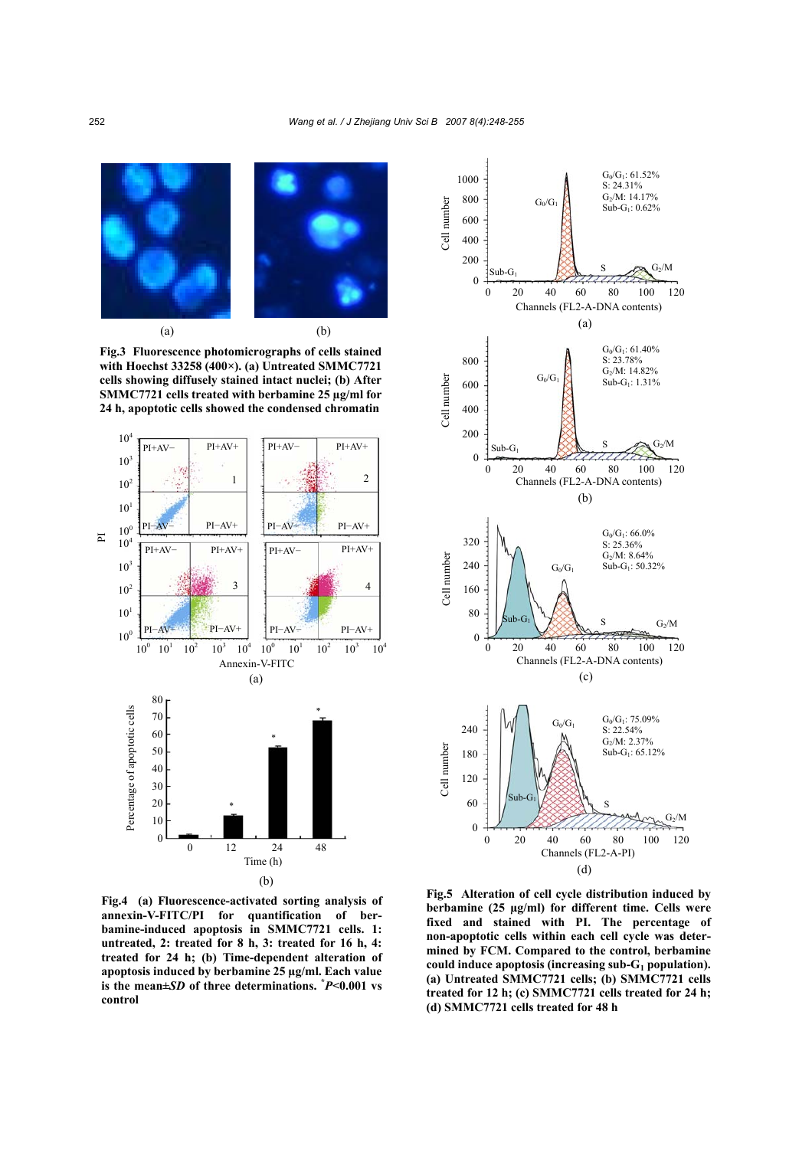

**Fig.3 Fluorescence photomicrographs of cells stained with Hoechst 33258 (400×). (a) Untreated SMMC7721 cells showing diffusely stained intact nuclei; (b) After SMMC7721 cells treated with berbamine 25 µg/ml for 24 h, apoptotic cells showed the condensed chromatin**



(b)

**Fig.4 (a) Fluorescence-activated sorting analysis of annexin-V-FITC/PI for quantification of berbamine-induced apoptosis in SMMC7721 cells. 1: untreated, 2: treated for 8 h, 3: treated for 16 h, 4: treated for 24 h; (b) Time-dependent alteration of apoptosis induced by berbamine 25 µg/ml. Each value is the mean±***SD* **of three determinations. \*** *P***<0.001 vs control** 



**Fig.5 Alteration of cell cycle distribution induced by berbamine (25 µg/ml) for different time. Cells were fixed and stained with PI. The percentage of non-apoptotic cells within each cell cycle was determined by FCM. Compared to the control, berbamine could induce apoptosis (increasing sub-G1 population). (a) Untreated SMMC7721 cells; (b) SMMC7721 cells treated for 12 h; (c) SMMC7721 cells treated for 24 h; (d) SMMC7721 cells treated for 48 h**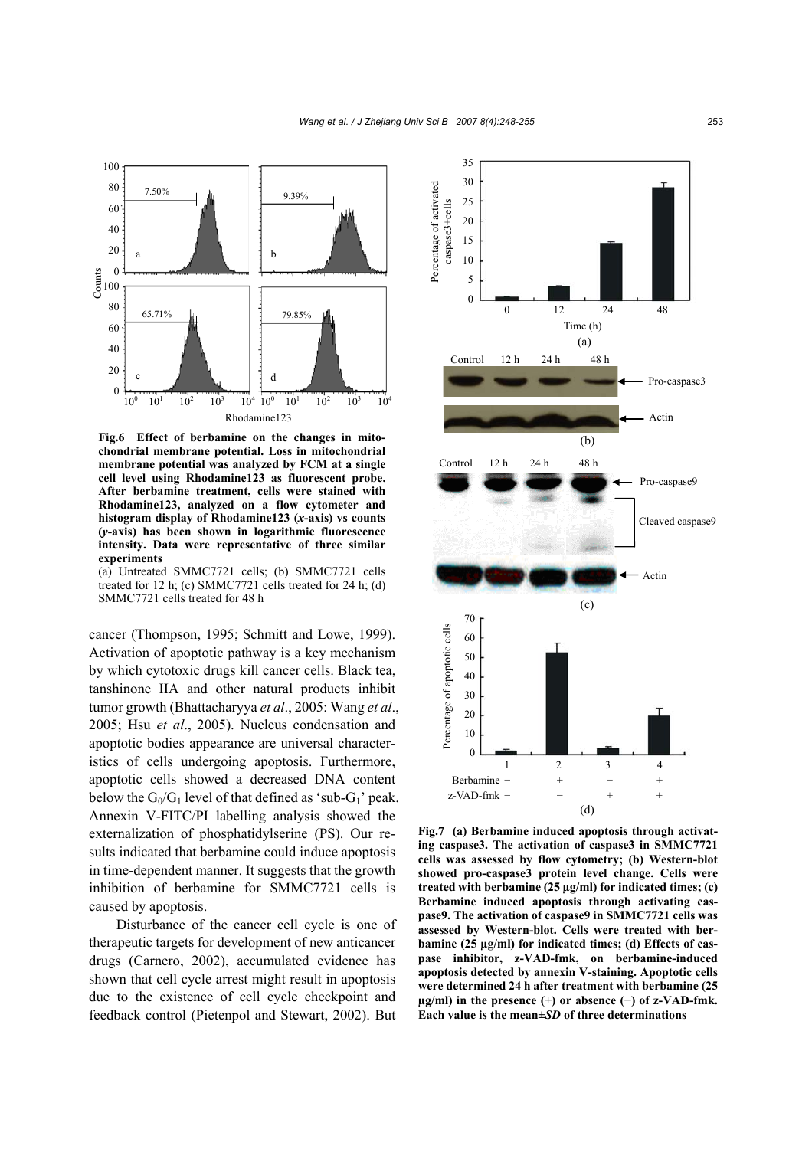

**Fig.6 Effect of berbamine on the changes in mitochondrial membrane potential. Loss in mitochondrial membrane potential was analyzed by FCM at a single cell level using Rhodamine123 as fluorescent probe. After berbamine treatment, cells were stained with Rhodamine123, analyzed on a flow cytometer and histogram display of Rhodamine123 (***x***-axis) vs counts (***y***-axis) has been shown in logarithmic fluorescence intensity. Data were representative of three similar experiments** 

(a) Untreated SMMC7721 cells; (b) SMMC7721 cells treated for 12 h; (c) SMMC7721 cells treated for 24 h; (d) SMMC7721 cells treated for 48 h

cancer (Thompson, 1995; Schmitt and Lowe, 1999). Activation of apoptotic pathway is a key mechanism by which cytotoxic drugs kill cancer cells. Black tea, tanshinone IIA and other natural products inhibit tumor growth (Bhattacharyya *et al*., 2005: Wang *et al*., 2005; Hsu *et al*., 2005). Nucleus condensation and apoptotic bodies appearance are universal characteristics of cells undergoing apoptosis. Furthermore, apoptotic cells showed a decreased DNA content below the  $G_0/G_1$  level of that defined as 'sub- $G_1$ ' peak. Annexin V-FITC/PI labelling analysis showed the externalization of phosphatidylserine (PS). Our results indicated that berbamine could induce apoptosis in time-dependent manner. It suggests that the growth inhibition of berbamine for SMMC7721 cells is caused by apoptosis.

Disturbance of the cancer cell cycle is one of therapeutic targets for development of new anticancer drugs (Carnero, 2002), accumulated evidence has shown that cell cycle arrest might result in apoptosis due to the existence of cell cycle checkpoint and feedback control (Pietenpol and Stewart, 2002). But



**Fig.7 (a) Berbamine induced apoptosis through activating caspase3. The activation of caspase3 in SMMC7721 cells was assessed by flow cytometry; (b) Western-blot showed pro-caspase3 protein level change. Cells were treated with berbamine (25 µg/ml) for indicated times; (c) Berbamine induced apoptosis through activating caspase9. The activation of caspase9 in SMMC7721 cells was assessed by Western-blot. Cells were treated with berbamine (25 µg/ml) for indicated times; (d) Effects of caspase inhibitor, z-VAD-fmk, on berbamine-induced apoptosis detected by annexin V-staining. Apoptotic cells were determined 24 h after treatment with berbamine (25 µg/ml) in the presence (+) or absence (−) of z-VAD-fmk. Each value is the mean±***SD* **of three determinations**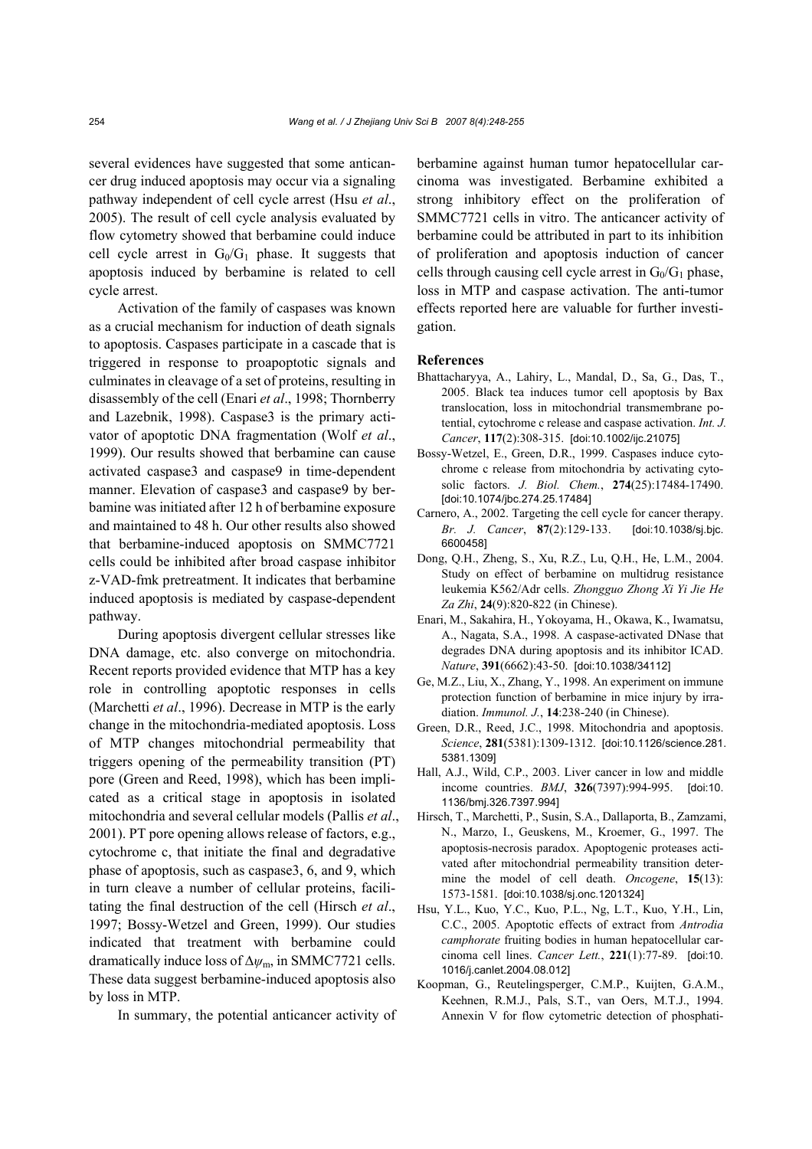several evidences have suggested that some anticancer drug induced apoptosis may occur via a signaling pathway independent of cell cycle arrest (Hsu *et al*., 2005). The result of cell cycle analysis evaluated by flow cytometry showed that berbamine could induce cell cycle arrest in  $G_0/G_1$  phase. It suggests that apoptosis induced by berbamine is related to cell cycle arrest.

Activation of the family of caspases was known as a crucial mechanism for induction of death signals to apoptosis. Caspases participate in a cascade that is triggered in response to proapoptotic signals and culminates in cleavage of a set of proteins, resulting in disassembly of the cell (Enari *et al*., 1998; Thornberry and Lazebnik, 1998). Caspase3 is the primary activator of apoptotic DNA fragmentation (Wolf *et al*., 1999). Our results showed that berbamine can cause activated caspase3 and caspase9 in time-dependent manner. Elevation of caspase3 and caspase9 by berbamine was initiated after 12 h of berbamine exposure and maintained to 48 h. Our other results also showed that berbamine-induced apoptosis on SMMC7721 cells could be inhibited after broad caspase inhibitor z-VAD-fmk pretreatment. It indicates that berbamine induced apoptosis is mediated by caspase-dependent pathway.

During apoptosis divergent cellular stresses like DNA damage, etc. also converge on mitochondria. Recent reports provided evidence that MTP has a key role in controlling apoptotic responses in cells (Marchetti *et al*., 1996). Decrease in MTP is the early change in the mitochondria-mediated apoptosis. Loss of MTP changes mitochondrial permeability that triggers opening of the permeability transition (PT) pore (Green and Reed, 1998), which has been implicated as a critical stage in apoptosis in isolated mitochondria and several cellular models (Pallis *et al*., 2001). PT pore opening allows release of factors, e.g., cytochrome c, that initiate the final and degradative phase of apoptosis, such as caspase3, 6, and 9, which in turn cleave a number of cellular proteins, facilitating the final destruction of the cell (Hirsch *et al*., 1997; Bossy-Wetzel and Green, 1999). Our studies indicated that treatment with berbamine could dramatically induce loss of ∆*ψ*m, in SMMC7721 cells. These data suggest berbamine-induced apoptosis also by loss in MTP.

In summary, the potential anticancer activity of

berbamine against human tumor hepatocellular carcinoma was investigated. Berbamine exhibited a strong inhibitory effect on the proliferation of SMMC7721 cells in vitro. The anticancer activity of berbamine could be attributed in part to its inhibition of proliferation and apoptosis induction of cancer cells through causing cell cycle arrest in  $G_0/G_1$  phase, loss in MTP and caspase activation. The anti-tumor effects reported here are valuable for further investigation.

## **References**

- Bhattacharyya, A., Lahiry, L., Mandal, D., Sa, G., Das, T., 2005. Black tea induces tumor cell apoptosis by Bax translocation, loss in mitochondrial transmembrane potential, cytochrome c release and caspase activation. *Int. J. Cancer*, **117**(2):308-315. [doi:10.1002/ijc.21075]
- Bossy-Wetzel, E., Green, D.R., 1999. Caspases induce cytochrome c release from mitochondria by activating cytosolic factors. *J. Biol. Chem.*, **274**(25):17484-17490. [doi:10.1074/jbc.274.25.17484]
- Carnero, A., 2002. Targeting the cell cycle for cancer therapy. *Br. J. Cancer*, **87**(2):129-133. [doi:10.1038/sj.bjc. 6600458]
- Dong, Q.H., Zheng, S., Xu, R.Z., Lu, Q.H., He, L.M., 2004. Study on effect of berbamine on multidrug resistance leukemia K562/Adr cells. *Zhongguo Zhong Xi Yi Jie He Za Zhi*, **24**(9):820-822 (in Chinese).
- Enari, M., Sakahira, H., Yokoyama, H., Okawa, K., Iwamatsu, A., Nagata, S.A., 1998. A caspase-activated DNase that degrades DNA during apoptosis and its inhibitor ICAD. *Nature*, **391**(6662):43-50. [doi:10.1038/34112]
- Ge, M.Z., Liu, X., Zhang, Y., 1998. An experiment on immune protection function of berbamine in mice injury by irradiation. *Immunol. J.*, **14**:238-240 (in Chinese).
- Green, D.R., Reed, J.C., 1998. Mitochondria and apoptosis. *Science*, **281**(5381):1309-1312. [doi:10.1126/science.281. 5381.1309]
- Hall, A.J., Wild, C.P., 2003. Liver cancer in low and middle income countries. *BMJ*, **326**(7397):994-995. [doi:10. 1136/bmj.326.7397.994]
- Hirsch, T., Marchetti, P., Susin, S.A., Dallaporta, B., Zamzami, N., Marzo, I., Geuskens, M., Kroemer, G., 1997. The apoptosis-necrosis paradox. Apoptogenic proteases activated after mitochondrial permeability transition determine the model of cell death. *Oncogene*, **15**(13): 1573-1581. [doi:10.1038/sj.onc.1201324]
- Hsu, Y.L., Kuo, Y.C., Kuo, P.L., Ng, L.T., Kuo, Y.H., Lin, C.C., 2005. Apoptotic effects of extract from *Antrodia camphorate* fruiting bodies in human hepatocellular carcinoma cell lines. *Cancer Lett.*, **221**(1):77-89. [doi:10. 1016/j.canlet.2004.08.012]
- Koopman, G., Reutelingsperger, C.M.P., Kuijten, G.A.M., Keehnen, R.M.J., Pals, S.T., van Oers, M.T.J., 1994. Annexin V for flow cytometric detection of phosphati-